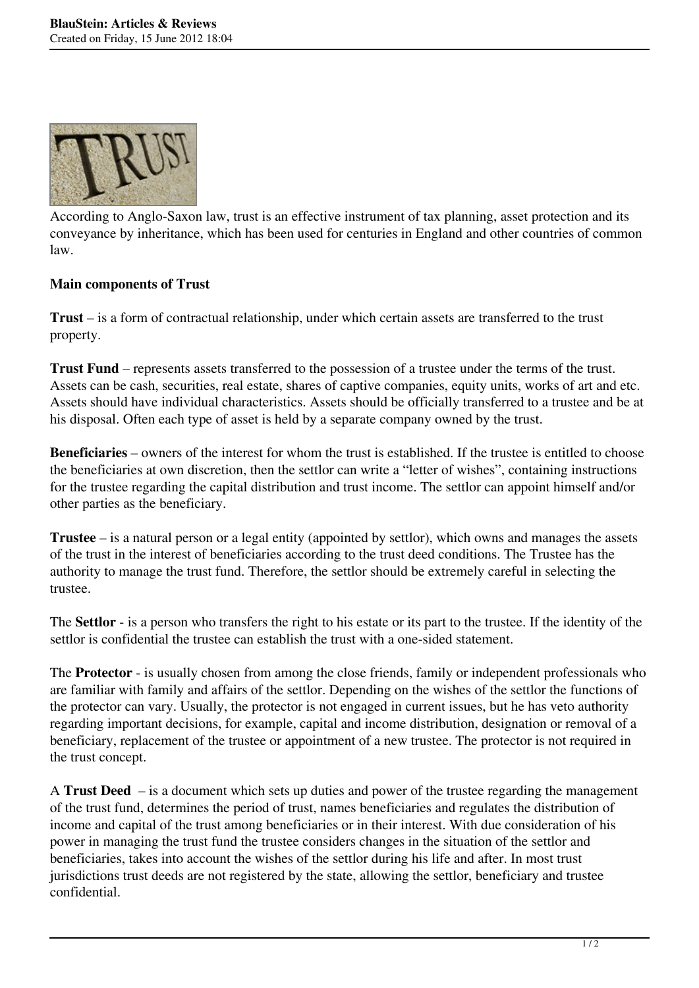

According to Anglo-Saxon law, trust is an effective instrument of tax planning, asset protection and its conveyance by inheritance, which has been used for centuries in England and other countries of common law.

## **Main components of Trust**

**Trust** – is a form of contractual relationship, under which certain assets are transferred to the trust property.

**Trust Fund** – represents assets transferred to the possession of a trustee under the terms of the trust. Assets can be cash, securities, real estate, shares of captive companies, equity units, works of art and etc. Assets should have individual characteristics. Assets should be officially transferred to a trustee and be at his disposal. Often each type of asset is held by a separate company owned by the trust.

**Beneficiaries** – owners of the interest for whom the trust is established. If the trustee is entitled to choose the beneficiaries at own discretion, then the settlor can write a "letter of wishes", containing instructions for the trustee regarding the capital distribution and trust income. The settlor can appoint himself and/or other parties as the beneficiary.

**Trustee** – is a natural person or a legal entity (appointed by settlor), which owns and manages the assets of the trust in the interest of beneficiaries according to the trust deed conditions. The Trustee has the authority to manage the trust fund. Therefore, the settlor should be extremely careful in selecting the trustee.

The **Settlor** - is a person who transfers the right to his estate or its part to the trustee. If the identity of the settlor is confidential the trustee can establish the trust with a one-sided statement.

The **Protector** - is usually chosen from among the close friends, family or independent professionals who are familiar with family and affairs of the settlor. Depending on the wishes of the settlor the functions of the protector can vary. Usually, the protector is not engaged in current issues, but he has veto authority regarding important decisions, for example, capital and income distribution, designation or removal of a beneficiary, replacement of the trustee or appointment of a new trustee. The protector is not required in the trust concept.

A **Trust Deed**  – is a document which sets up duties and power of the trustee regarding the management of the trust fund, determines the period of trust, names beneficiaries and regulates the distribution of income and capital of the trust among beneficiaries or in their interest. With due consideration of his power in managing the trust fund the trustee considers changes in the situation of the settlor and beneficiaries, takes into account the wishes of the settlor during his life and after. In most trust jurisdictions trust deeds are not registered by the state, allowing the settlor, beneficiary and trustee confidential.